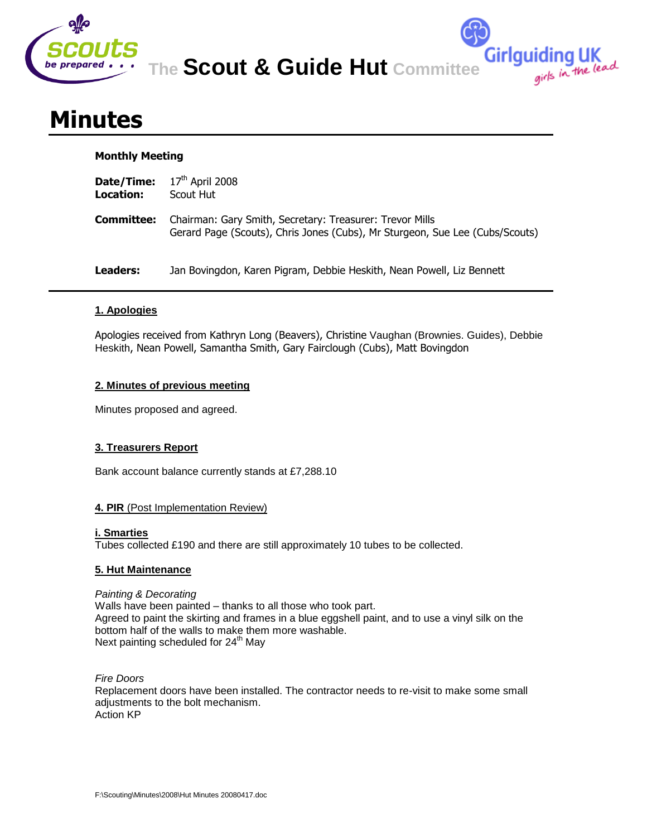

**The Scout & Guide Hut Committee**

**Girlguiding UK**<br>girls in the lead

# **Minutes**

### **Monthly Meeting**

| Date/Time:<br>Location: | $17th$ April 2008<br>Scout Hut                                                                                                           |
|-------------------------|------------------------------------------------------------------------------------------------------------------------------------------|
| Committee:              | Chairman: Gary Smith, Secretary: Treasurer: Trevor Mills<br>Gerard Page (Scouts), Chris Jones (Cubs), Mr Sturgeon, Sue Lee (Cubs/Scouts) |
| Leaders:                | Jan Bovingdon, Karen Pigram, Debbie Heskith, Nean Powell, Liz Bennett                                                                    |

## **1. Apologies**

Apologies received from Kathryn Long (Beavers), Christine Vaughan (Brownies. Guides), Debbie Heskith, Nean Powell, Samantha Smith, Gary Fairclough (Cubs), Matt Bovingdon

### **2. Minutes of previous meeting**

Minutes proposed and agreed.

### **3. Treasurers Report**

Bank account balance currently stands at £7,288.10

### **4. PIR** (Post Implementation Review)

#### **i. Smarties**

Tubes collected £190 and there are still approximately 10 tubes to be collected.

### **5. Hut Maintenance**

#### *Painting & Decorating* Walls have been painted – thanks to all those who took part. Agreed to paint the skirting and frames in a blue eggshell paint, and to use a vinyl silk on the bottom half of the walls to make them more washable. Next painting scheduled for 24<sup>th</sup> Mav

*Fire Doors* Replacement doors have been installed. The contractor needs to re-visit to make some small adjustments to the bolt mechanism. Action KP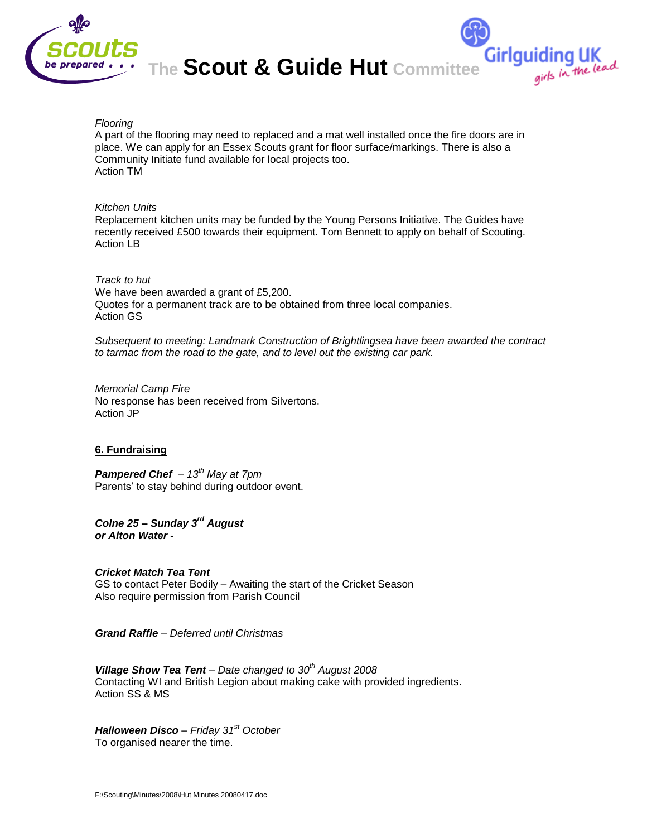

**The Scout & Guide Hut Committee**

Girlguiding UK<br>girls in the lead

#### *Flooring*

A part of the flooring may need to replaced and a mat well installed once the fire doors are in place. We can apply for an Essex Scouts grant for floor surface/markings. There is also a Community Initiate fund available for local projects too. Action TM

#### *Kitchen Units*

Replacement kitchen units may be funded by the Young Persons Initiative. The Guides have recently received £500 towards their equipment. Tom Bennett to apply on behalf of Scouting. Action LB

#### *Track to hut*

We have been awarded a grant of £5,200. Quotes for a permanent track are to be obtained from three local companies. Action GS

*Subsequent to meeting: Landmark Construction of Brightlingsea have been awarded the contract to tarmac from the road to the gate, and to level out the existing car park.*

*Memorial Camp Fire* No response has been received from Silvertons. Action JP

#### **6. Fundraising**

*Pampered Chef – 13th May at 7pm* Parents' to stay behind during outdoor event.

*Colne 25 – Sunday 3rd August or Alton Water -*

#### *Cricket Match Tea Tent* GS to contact Peter Bodily – Awaiting the start of the Cricket Season Also require permission from Parish Council

*Grand Raffle – Deferred until Christmas*

*Village Show Tea Tent – Date changed to 30th August 2008* Contacting WI and British Legion about making cake with provided ingredients. Action SS & MS

*Halloween Disco – Friday 31st October* To organised nearer the time.